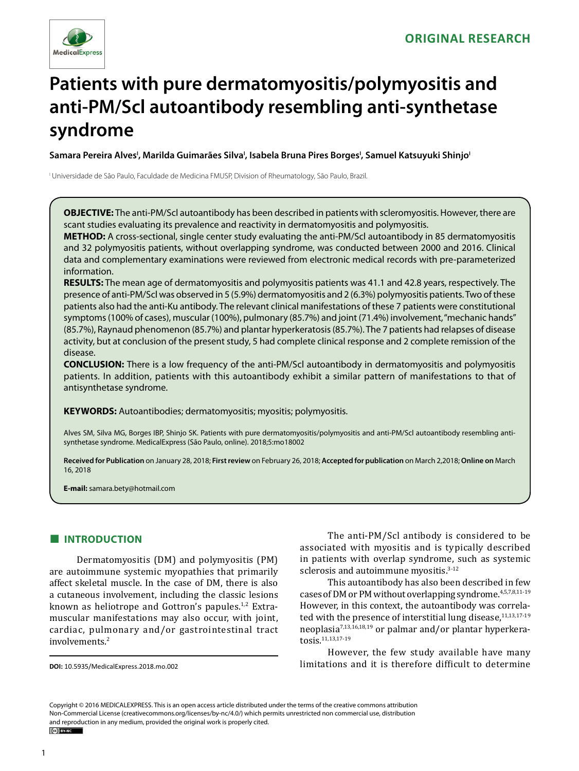

# **Patients with pure dermatomyositis/polymyositis and anti-PM/Scl autoantibody resembling anti-synthetase syndrome**

**Samara Pereira AlvesI , Marilda Guimarães SilvaI , Isabela Bruna Pires BorgesI , Samuel Katsuyuki ShinjoI**

I Universidade de São Paulo, Faculdade de Medicina FMUSP, Division of Rheumatology, São Paulo, Brazil.

**OBJECTIVE:** The anti-PM/Scl autoantibody has been described in patients with scleromyositis. However, there are scant studies evaluating its prevalence and reactivity in dermatomyositis and polymyositis.

**METHOD:** A cross-sectional, single center study evaluating the anti-PM/Scl autoantibody in 85 dermatomyositis and 32 polymyositis patients, without overlapping syndrome, was conducted between 2000 and 2016. Clinical data and complementary examinations were reviewed from electronic medical records with pre-parameterized information.

**RESULTS:** The mean age of dermatomyositis and polymyositis patients was 41.1 and 42.8 years, respectively. The presence of anti-PM/Scl was observed in 5 (5.9%) dermatomyositis and 2 (6.3%) polymyositis patients. Two of these patients also had the anti-Ku antibody. The relevant clinical manifestations of these 7 patients were constitutional symptoms (100% of cases), muscular (100%), pulmonary (85.7%) and joint (71.4%) involvement, "mechanic hands" (85.7%), Raynaud phenomenon (85.7%) and plantar hyperkeratosis (85.7%). The 7 patients had relapses of disease activity, but at conclusion of the present study, 5 had complete clinical response and 2 complete remission of the disease.

**CONCLUSION:** There is a low frequency of the anti-PM/Scl autoantibody in dermatomyositis and polymyositis patients. In addition, patients with this autoantibody exhibit a similar pattern of manifestations to that of antisynthetase syndrome.

**KEYWORDS:** Autoantibodies; dermatomyositis; myositis; polymyositis.

Alves SM, Silva MG, Borges IBP, Shinjo SK. Patients with pure dermatomyositis/polymyositis and anti-PM/Scl autoantibody resembling antisynthetase syndrome. MedicalExpress (São Paulo, online). 2018;5:mo18002

**Received for Publication** on January 28, 2018; **First review** on February 26, 2018; **Accepted for publication** on March 2,2018; **Online on** March 16, 2018

**E-mail:** samara.bety@hotmail.com

#### **■ INTRODUCTION**

Dermatomyositis (DM) and polymyositis (PM) are autoimmune systemic myopathies that primarily affect skeletal muscle. In the case of DM, there is also a cutaneous involvement, including the classic lesions known as heliotrope and Gottron's papules. $1,2$  Extramuscular manifestations may also occur, with joint, cardiac, pulmonary and/or gastrointestinal tract involvements.2

**DOI:** 10.5935/MedicalExpress.2018.mo.002

The anti-PM/Scl antibody is considered to be associated with myositis and is typically described in patients with overlap syndrome, such as systemic sclerosis and autoimmune myositis. $3-12$ 

This autoantibody has also been described in few cases of DM or PM without overlapping syndrome.4,5,7,8,11-19 However, in this context, the autoantibody was correlated with the presence of interstitial lung disease, $11,13,17-19$ neoplasia7,13,16,18,19 or palmar and/or plantar hyperkeratosis.11,13,17-19

However, the few study available have many limitations and it is therefore difficult to determine

Copyright © 2016 MEDICALEXPRESS. This is an open access article distributed under the terms of the creative commons attribution Non-Commercial License (creativecommons.org/licenses/by-nc/4.0/) which permits unrestricted non commercial use, distribution and reproduction in any medium, provided the original work is properly cited.

 $(c<sub>c</sub>)$  BY-NC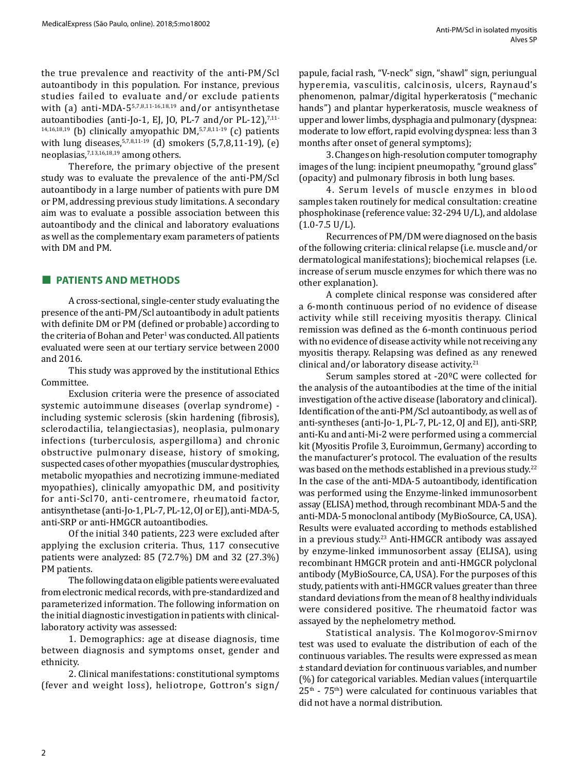the true prevalence and reactivity of the anti-PM/Scl autoantibody in this population. For instance, previous studies failed to evaluate and/or exclude patients with (a) anti-MDA-5<sup>5,7,8,11-16,18,19</sup> and/or antisynthetase autoantibodies (anti-Jo-1, EJ, JO, PL-7 and/or PL-12), $^{7,11-}$  $14,16,18,19$  (b) clinically amyopathic DM,  $57,8,11\cdot19$  (c) patients with lung diseases,  $5,7,8,11-19$  (d) smokers (5,7,8,11-19), (e) neoplasias,7,13,16,18,19 among others.

Therefore, the primary objective of the present study was to evaluate the prevalence of the anti-PM/Scl autoantibody in a large number of patients with pure DM or PM, addressing previous study limitations. A secondary aim was to evaluate a possible association between this autoantibody and the clinical and laboratory evaluations as well as the complementary exam parameters of patients with DM and PM.

#### **■ PATIENTS AND METHODS**

A cross-sectional, single-center study evaluating the presence of the anti-PM/Scl autoantibody in adult patients with definite DM or PM (defined or probable) according to the criteria of Bohan and Peter $^1$  was conducted. All patients evaluated were seen at our tertiary service between 2000 and 2016.

This study was approved by the institutional Ethics Committee.

Exclusion criteria were the presence of associated systemic autoimmune diseases (overlap syndrome) including systemic sclerosis (skin hardening (fibrosis), sclerodactilia, telangiectasias), neoplasia, pulmonary infections (turberculosis, aspergilloma) and chronic obstructive pulmonary disease, history of smoking, suspected cases of other myopathies (muscular dystrophies, metabolic myopathies and necrotizing immune-mediated myopathies), clinically amyopathic DM, and positivity for anti-Scl70, anti-centromere, rheumatoid factor, antisynthetase (anti-Jo-1, PL-7, PL-12, OJ or EJ), anti-MDA-5, anti-SRP or anti-HMGCR autoantibodies.

Of the initial 340 patients, 223 were excluded after applying the exclusion criteria. Thus, 117 consecutive patients were analyzed: 85 (72.7%) DM and 32 (27.3%) PM patients.

The following data on eligible patients were evaluated from electronic medical records, with pre-standardized and parameterized information. The following information on the initial diagnostic investigation in patients with clinicallaboratory activity was assessed:

1. Demographics: age at disease diagnosis, time between diagnosis and symptoms onset, gender and ethnicity.

2. Clinical manifestations: constitutional symptoms (fever and weight loss), heliotrope, Gottron's sign/

papule, facial rash, "V-neck" sign, "shawl" sign, periungual hyperemia, vasculitis, calcinosis, ulcers, Raynaud's phenomenon, palmar/digital hyperkeratosis ("mechanic hands") and plantar hyperkeratosis, muscle weakness of upper and lower limbs, dysphagia and pulmonary (dyspnea: moderate to low effort, rapid evolving dyspnea: less than 3 months after onset of general symptoms);

3. Changes on high-resolution computer tomography images of the lung: incipient pneumopathy, "ground glass" (opacity) and pulmonary fibrosis in both lung bases.

4. Serum levels of muscle enzymes in blood samples taken routinely for medical consultation: creatine phosphokinase (reference value: 32-294 U/L), and aldolase  $(1.0 - 7.5 \text{ U/L}).$ 

Recurrences of PM/DM were diagnosed on the basis of the following criteria: clinical relapse (i.e. muscle and/or dermatological manifestations); biochemical relapses (i.e. increase of serum muscle enzymes for which there was no other explanation).

A complete clinical response was considered after a 6-month continuous period of no evidence of disease activity while still receiving myositis therapy. Clinical remission was defined as the 6-month continuous period with no evidence of disease activity while not receiving any myositis therapy. Relapsing was defined as any renewed clinical and/or laboratory disease activity. $21$ 

Serum samples stored at -20ºC were collected for the analysis of the autoantibodies at the time of the initial investigation of the active disease (laboratory and clinical). Identification of the anti-PM/Scl autoantibody, as well as of anti-syntheses (anti-Jo-1, PL-7, PL-12, OJ and EJ), anti-SRP, anti-Ku and anti-Mi-2 were performed using a commercial kit (Myositis Profile 3, Euroimmun, Germany) according to the manufacturer's protocol. The evaluation of the results was based on the methods established in a previous study.<sup>22</sup> In the case of the anti-MDA-5 autoantibody, identification was performed using the Enzyme-linked immunosorbent assay (ELISA) method, through recombinant MDA-5 and the anti-MDA-5 monoclonal antibody (MyBioSource, CA, USA). Results were evaluated according to methods established in a previous study.23 Anti-HMGCR antibody was assayed by enzyme-linked immunosorbent assay (ELISA), using recombinant HMGCR protein and anti-HMGCR polyclonal antibody (MyBioSource, CA, USA). For the purposes of this study, patients with anti-HMGCR values greater than three standard deviations from the mean of 8 healthy individuals were considered positive. The rheumatoid factor was assayed by the nephelometry method.

Statistical analysis. The Kolmogorov-Smirnov test was used to evaluate the distribution of each of the continuous variables. The results were expressed as mean ± standard deviation for continuous variables, and number (%) for categorical variables. Median values (interquartile  $25<sup>th</sup>$  - 75<sup>th</sup>) were calculated for continuous variables that did not have a normal distribution.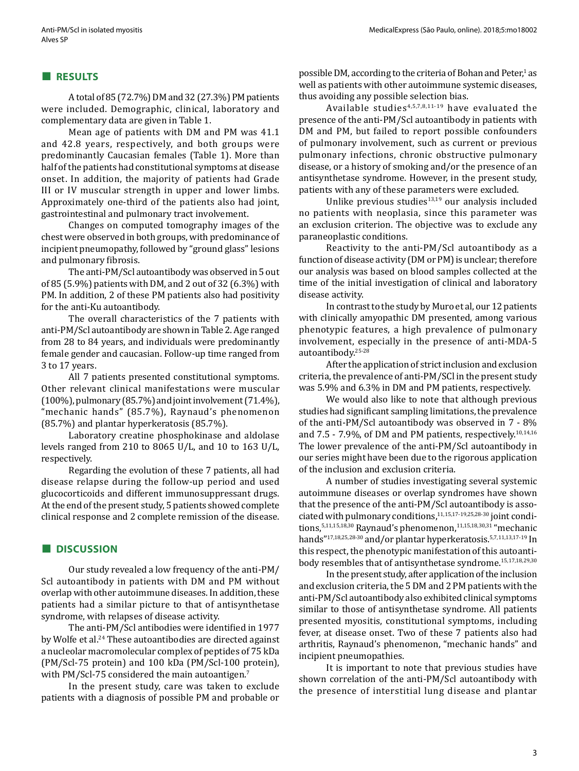#### **■ RESULTS**

A total of 85 (72.7%) DM and 32 (27.3%) PM patients were included. Demographic, clinical, laboratory and complementary data are given in Table 1.

Mean age of patients with DM and PM was 41.1 and 42.8 years, respectively, and both groups were predominantly Caucasian females (Table 1). More than half of the patients had constitutional symptoms at disease onset. In addition, the majority of patients had Grade III or IV muscular strength in upper and lower limbs. Approximately one-third of the patients also had joint, gastrointestinal and pulmonary tract involvement.

Changes on computed tomography images of the chest were observed in both groups, with predominance of incipient pneumopathy, followed by "ground glass" lesions and pulmonary fibrosis.

The anti-PM/Scl autoantibody was observed in 5 out of 85 (5.9%) patients with DM, and 2 out of 32 (6.3%) with PM. In addition, 2 of these PM patients also had positivity for the anti-Ku autoantibody.

The overall characteristics of the 7 patients with anti-PM/Scl autoantibody are shown in Table 2. Age ranged from 28 to 84 years, and individuals were predominantly female gender and caucasian. Follow-up time ranged from 3 to 17 years.

All 7 patients presented constitutional symptoms. Other relevant clinical manifestations were muscular (100%), pulmonary (85.7%) and joint involvement (71.4%), "mechanic hands" (85.7%), Raynaud's phenomenon (85.7%) and plantar hyperkeratosis (85.7%).

Laboratory creatine phosphokinase and aldolase levels ranged from 210 to 8065 U/L, and 10 to 163 U/L, respectively.

Regarding the evolution of these 7 patients, all had disease relapse during the follow-up period and used glucocorticoids and different immunosuppressant drugs. At the end of the present study, 5 patients showed complete clinical response and 2 complete remission of the disease.

# **■ DISCUSSION**

Our study revealed a low frequency of the anti-PM/ Scl autoantibody in patients with DM and PM without overlap with other autoimmune diseases. In addition, these patients had a similar picture to that of antisynthetase syndrome, with relapses of disease activity.

The anti-PM/Scl antibodies were identified in 1977 by Wolfe et al.24 These autoantibodies are directed against a nucleolar macromolecular complex of peptides of 75 kDa (PM/Scl-75 protein) and 100 kDa (PM/Scl-100 protein), with PM/Scl-75 considered the main autoantigen.<sup>7</sup>

In the present study, care was taken to exclude patients with a diagnosis of possible PM and probable or possible DM, according to the criteria of Bohan and Peter,<sup>1</sup> as well as patients with other autoimmune systemic diseases, thus avoiding any possible selection bias.

Available studies $4,5,7,8,11-19$  have evaluated the presence of the anti-PM/Scl autoantibody in patients with DM and PM, but failed to report possible confounders of pulmonary involvement, such as current or previous pulmonary infections, chronic obstructive pulmonary disease, or a history of smoking and/or the presence of an antisynthetase syndrome. However, in the present study, patients with any of these parameters were excluded.

Unlike previous studies $13,19}$  our analysis included no patients with neoplasia, since this parameter was an exclusion criterion. The objective was to exclude any paraneoplastic conditions.

Reactivity to the anti-PM/Scl autoantibody as a function of disease activity (DM or PM) is unclear; therefore our analysis was based on blood samples collected at the time of the initial investigation of clinical and laboratory disease activity.

In contrast to the study by Muro et al, our 12 patients with clinically amyopathic DM presented, among various phenotypic features, a high prevalence of pulmonary involvement, especially in the presence of anti-MDA-5 autoantibody.25-28

After the application of strict inclusion and exclusion criteria, the prevalence of anti-PM/SCl in the present study was 5.9% and 6.3% in DM and PM patients, respectively.

We would also like to note that although previous studies had significant sampling limitations, the prevalence of the anti-PM/Scl autoantibody was observed in 7 - 8% and  $7.5 - 7.9\%$ , of DM and PM patients, respectively.<sup>10,14,16</sup> The lower prevalence of the anti-PM/Scl autoantibody in our series might have been due to the rigorous application of the inclusion and exclusion criteria.

A number of studies investigating several systemic autoimmune diseases or overlap syndromes have shown that the presence of the anti-PM/Scl autoantibody is associated with pulmonary conditions,11,15,17-19,25,28-30 joint conditions,  $5,11,15,18,30$  Raynaud's phenomenon,  $11,15,18,30,31$  "mechanic hands"17,18,25,28-30 and/or plantar hyperkeratosis.5,7,11,13,17-19 In this respect, the phenotypic manifestation of this autoantibody resembles that of antisynthetase syndrome.15,17,18,29,30

In the present study, after application of the inclusion and exclusion criteria, the 5 DM and 2 PM patients with the anti-PM/Scl autoantibody also exhibited clinical symptoms similar to those of antisynthetase syndrome. All patients presented myositis, constitutional symptoms, including fever, at disease onset. Two of these 7 patients also had arthritis, Raynaud's phenomenon, "mechanic hands" and incipient pneumopathies.

It is important to note that previous studies have shown correlation of the anti-PM/Scl autoantibody with the presence of interstitial lung disease and plantar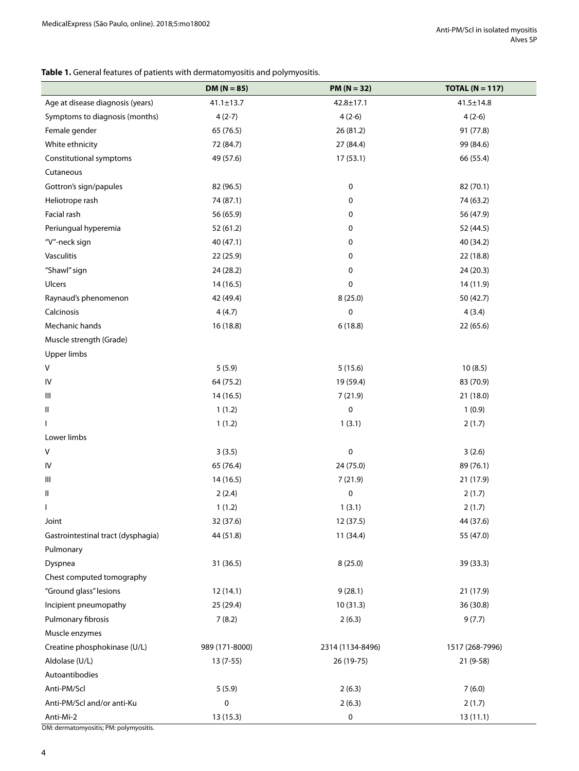## **Table 1.** General features of patients with dermatomyositis and polymyositis.

| Age at disease diagnosis (years)<br>$42.8 \pm 17.1$<br>$41.1 \pm 13.7$<br>$41.5 \pm 14.8$<br>Symptoms to diagnosis (months)<br>$4(2-6)$<br>$4(2-6)$<br>$4(2-7)$<br>Female gender<br>65 (76.5)<br>26 (81.2)<br>91 (77.8)<br>White ethnicity<br>72 (84.7)<br>27 (84.4)<br>99 (84.6)<br>17(53.1)<br>Constitutional symptoms<br>49 (57.6)<br>66 (55.4)<br>Cutaneous<br>0<br>82 (70.1)<br>Gottron's sign/papules<br>82 (96.5)<br>Heliotrope rash<br>74 (87.1)<br>0<br>74 (63.2)<br>Facial rash<br>56 (65.9)<br>0<br>56 (47.9)<br>Periungual hyperemia<br>52 (61.2)<br>0<br>52 (44.5)<br>"V"-neck sign<br>40 (47.1)<br>0<br>40 (34.2)<br>Vasculitis<br>0<br>22 (18.8)<br>22 (25.9)<br>"Shawl" sign<br>24 (28.2)<br>0<br>24(20.3)<br>Ulcers<br>14(16.5)<br>$\pmb{0}$<br>14 (11.9)<br>8(25.0)<br>Raynaud's phenomenon<br>42 (49.4)<br>50 (42.7)<br>Calcinosis<br>4(4.7)<br>0<br>4(3.4)<br>Mechanic hands<br>16 (18.8)<br>6(18.8)<br>22 (65.6)<br>Muscle strength (Grade)<br><b>Upper limbs</b><br>V<br>5(5.9)<br>5(15.6)<br>10(8.5)<br>83 (70.9)<br>64 (75.2)<br>19 (59.4)<br>14 (16.5)<br>7(21.9)<br>21 (18.0)<br>$\pmb{0}$<br>1(1.2)<br>1(0.9)<br>Ш<br>1(1.2)<br>1(3.1)<br>2(1.7)<br>L<br>$\pmb{0}$<br>V<br>3(3.5)<br>3(2.6)<br>65 (76.4)<br>24 (75.0)<br>89 (76.1)<br>14 (16.5)<br>7(21.9)<br>21 (17.9)<br>2(2.4)<br>$\pmb{0}$<br>Ш<br>2(1.7)<br>1(3.1)<br>1(1.2)<br>2(1.7)<br>I<br>Joint<br>32 (37.6)<br>12(37.5)<br>44 (37.6)<br>44 (51.8)<br>11 (34.4)<br>55 (47.0)<br>Gastrointestinal tract (dysphagia)<br>Pulmonary<br>8(25.0)<br>Dyspnea<br>31 (36.5)<br>39 (33.3)<br>Chest computed tomography<br>"Ground glass" lesions<br>12 (14.1)<br>9(28.1)<br>21(17.9)<br>Incipient pneumopathy<br>25 (29.4)<br>10(31.3)<br>36 (30.8)<br>Pulmonary fibrosis<br>7(8.2)<br>2(6.3)<br>9(7.7)<br>Muscle enzymes<br>Creatine phosphokinase (U/L)<br>989 (171-8000)<br>2314 (1134-8496)<br>1517 (268-7996)<br>Aldolase (U/L)<br>$13(7-55)$<br>26 (19-75)<br>21 (9-58) |                                                     | $DM (N = 85)$ | $PM (N = 32)$ | TOTAL ( $N = 117$ ) |  |  |
|----------------------------------------------------------------------------------------------------------------------------------------------------------------------------------------------------------------------------------------------------------------------------------------------------------------------------------------------------------------------------------------------------------------------------------------------------------------------------------------------------------------------------------------------------------------------------------------------------------------------------------------------------------------------------------------------------------------------------------------------------------------------------------------------------------------------------------------------------------------------------------------------------------------------------------------------------------------------------------------------------------------------------------------------------------------------------------------------------------------------------------------------------------------------------------------------------------------------------------------------------------------------------------------------------------------------------------------------------------------------------------------------------------------------------------------------------------------------------------------------------------------------------------------------------------------------------------------------------------------------------------------------------------------------------------------------------------------------------------------------------------------------------------------------------------------------------------------------------------------------------------------------------------------------------------------------------------|-----------------------------------------------------|---------------|---------------|---------------------|--|--|
|                                                                                                                                                                                                                                                                                                                                                                                                                                                                                                                                                                                                                                                                                                                                                                                                                                                                                                                                                                                                                                                                                                                                                                                                                                                                                                                                                                                                                                                                                                                                                                                                                                                                                                                                                                                                                                                                                                                                                          |                                                     |               |               |                     |  |  |
|                                                                                                                                                                                                                                                                                                                                                                                                                                                                                                                                                                                                                                                                                                                                                                                                                                                                                                                                                                                                                                                                                                                                                                                                                                                                                                                                                                                                                                                                                                                                                                                                                                                                                                                                                                                                                                                                                                                                                          |                                                     |               |               |                     |  |  |
|                                                                                                                                                                                                                                                                                                                                                                                                                                                                                                                                                                                                                                                                                                                                                                                                                                                                                                                                                                                                                                                                                                                                                                                                                                                                                                                                                                                                                                                                                                                                                                                                                                                                                                                                                                                                                                                                                                                                                          |                                                     |               |               |                     |  |  |
|                                                                                                                                                                                                                                                                                                                                                                                                                                                                                                                                                                                                                                                                                                                                                                                                                                                                                                                                                                                                                                                                                                                                                                                                                                                                                                                                                                                                                                                                                                                                                                                                                                                                                                                                                                                                                                                                                                                                                          |                                                     |               |               |                     |  |  |
|                                                                                                                                                                                                                                                                                                                                                                                                                                                                                                                                                                                                                                                                                                                                                                                                                                                                                                                                                                                                                                                                                                                                                                                                                                                                                                                                                                                                                                                                                                                                                                                                                                                                                                                                                                                                                                                                                                                                                          |                                                     |               |               |                     |  |  |
|                                                                                                                                                                                                                                                                                                                                                                                                                                                                                                                                                                                                                                                                                                                                                                                                                                                                                                                                                                                                                                                                                                                                                                                                                                                                                                                                                                                                                                                                                                                                                                                                                                                                                                                                                                                                                                                                                                                                                          |                                                     |               |               |                     |  |  |
|                                                                                                                                                                                                                                                                                                                                                                                                                                                                                                                                                                                                                                                                                                                                                                                                                                                                                                                                                                                                                                                                                                                                                                                                                                                                                                                                                                                                                                                                                                                                                                                                                                                                                                                                                                                                                                                                                                                                                          |                                                     |               |               |                     |  |  |
|                                                                                                                                                                                                                                                                                                                                                                                                                                                                                                                                                                                                                                                                                                                                                                                                                                                                                                                                                                                                                                                                                                                                                                                                                                                                                                                                                                                                                                                                                                                                                                                                                                                                                                                                                                                                                                                                                                                                                          |                                                     |               |               |                     |  |  |
|                                                                                                                                                                                                                                                                                                                                                                                                                                                                                                                                                                                                                                                                                                                                                                                                                                                                                                                                                                                                                                                                                                                                                                                                                                                                                                                                                                                                                                                                                                                                                                                                                                                                                                                                                                                                                                                                                                                                                          |                                                     |               |               |                     |  |  |
|                                                                                                                                                                                                                                                                                                                                                                                                                                                                                                                                                                                                                                                                                                                                                                                                                                                                                                                                                                                                                                                                                                                                                                                                                                                                                                                                                                                                                                                                                                                                                                                                                                                                                                                                                                                                                                                                                                                                                          |                                                     |               |               |                     |  |  |
|                                                                                                                                                                                                                                                                                                                                                                                                                                                                                                                                                                                                                                                                                                                                                                                                                                                                                                                                                                                                                                                                                                                                                                                                                                                                                                                                                                                                                                                                                                                                                                                                                                                                                                                                                                                                                                                                                                                                                          |                                                     |               |               |                     |  |  |
|                                                                                                                                                                                                                                                                                                                                                                                                                                                                                                                                                                                                                                                                                                                                                                                                                                                                                                                                                                                                                                                                                                                                                                                                                                                                                                                                                                                                                                                                                                                                                                                                                                                                                                                                                                                                                                                                                                                                                          |                                                     |               |               |                     |  |  |
|                                                                                                                                                                                                                                                                                                                                                                                                                                                                                                                                                                                                                                                                                                                                                                                                                                                                                                                                                                                                                                                                                                                                                                                                                                                                                                                                                                                                                                                                                                                                                                                                                                                                                                                                                                                                                                                                                                                                                          |                                                     |               |               |                     |  |  |
|                                                                                                                                                                                                                                                                                                                                                                                                                                                                                                                                                                                                                                                                                                                                                                                                                                                                                                                                                                                                                                                                                                                                                                                                                                                                                                                                                                                                                                                                                                                                                                                                                                                                                                                                                                                                                                                                                                                                                          |                                                     |               |               |                     |  |  |
|                                                                                                                                                                                                                                                                                                                                                                                                                                                                                                                                                                                                                                                                                                                                                                                                                                                                                                                                                                                                                                                                                                                                                                                                                                                                                                                                                                                                                                                                                                                                                                                                                                                                                                                                                                                                                                                                                                                                                          |                                                     |               |               |                     |  |  |
|                                                                                                                                                                                                                                                                                                                                                                                                                                                                                                                                                                                                                                                                                                                                                                                                                                                                                                                                                                                                                                                                                                                                                                                                                                                                                                                                                                                                                                                                                                                                                                                                                                                                                                                                                                                                                                                                                                                                                          |                                                     |               |               |                     |  |  |
|                                                                                                                                                                                                                                                                                                                                                                                                                                                                                                                                                                                                                                                                                                                                                                                                                                                                                                                                                                                                                                                                                                                                                                                                                                                                                                                                                                                                                                                                                                                                                                                                                                                                                                                                                                                                                                                                                                                                                          |                                                     |               |               |                     |  |  |
|                                                                                                                                                                                                                                                                                                                                                                                                                                                                                                                                                                                                                                                                                                                                                                                                                                                                                                                                                                                                                                                                                                                                                                                                                                                                                                                                                                                                                                                                                                                                                                                                                                                                                                                                                                                                                                                                                                                                                          |                                                     |               |               |                     |  |  |
|                                                                                                                                                                                                                                                                                                                                                                                                                                                                                                                                                                                                                                                                                                                                                                                                                                                                                                                                                                                                                                                                                                                                                                                                                                                                                                                                                                                                                                                                                                                                                                                                                                                                                                                                                                                                                                                                                                                                                          |                                                     |               |               |                     |  |  |
|                                                                                                                                                                                                                                                                                                                                                                                                                                                                                                                                                                                                                                                                                                                                                                                                                                                                                                                                                                                                                                                                                                                                                                                                                                                                                                                                                                                                                                                                                                                                                                                                                                                                                                                                                                                                                                                                                                                                                          |                                                     |               |               |                     |  |  |
|                                                                                                                                                                                                                                                                                                                                                                                                                                                                                                                                                                                                                                                                                                                                                                                                                                                                                                                                                                                                                                                                                                                                                                                                                                                                                                                                                                                                                                                                                                                                                                                                                                                                                                                                                                                                                                                                                                                                                          | IV                                                  |               |               |                     |  |  |
|                                                                                                                                                                                                                                                                                                                                                                                                                                                                                                                                                                                                                                                                                                                                                                                                                                                                                                                                                                                                                                                                                                                                                                                                                                                                                                                                                                                                                                                                                                                                                                                                                                                                                                                                                                                                                                                                                                                                                          | Ш                                                   |               |               |                     |  |  |
|                                                                                                                                                                                                                                                                                                                                                                                                                                                                                                                                                                                                                                                                                                                                                                                                                                                                                                                                                                                                                                                                                                                                                                                                                                                                                                                                                                                                                                                                                                                                                                                                                                                                                                                                                                                                                                                                                                                                                          |                                                     |               |               |                     |  |  |
|                                                                                                                                                                                                                                                                                                                                                                                                                                                                                                                                                                                                                                                                                                                                                                                                                                                                                                                                                                                                                                                                                                                                                                                                                                                                                                                                                                                                                                                                                                                                                                                                                                                                                                                                                                                                                                                                                                                                                          |                                                     |               |               |                     |  |  |
|                                                                                                                                                                                                                                                                                                                                                                                                                                                                                                                                                                                                                                                                                                                                                                                                                                                                                                                                                                                                                                                                                                                                                                                                                                                                                                                                                                                                                                                                                                                                                                                                                                                                                                                                                                                                                                                                                                                                                          | Lower limbs                                         |               |               |                     |  |  |
|                                                                                                                                                                                                                                                                                                                                                                                                                                                                                                                                                                                                                                                                                                                                                                                                                                                                                                                                                                                                                                                                                                                                                                                                                                                                                                                                                                                                                                                                                                                                                                                                                                                                                                                                                                                                                                                                                                                                                          |                                                     |               |               |                     |  |  |
|                                                                                                                                                                                                                                                                                                                                                                                                                                                                                                                                                                                                                                                                                                                                                                                                                                                                                                                                                                                                                                                                                                                                                                                                                                                                                                                                                                                                                                                                                                                                                                                                                                                                                                                                                                                                                                                                                                                                                          | IV                                                  |               |               |                     |  |  |
|                                                                                                                                                                                                                                                                                                                                                                                                                                                                                                                                                                                                                                                                                                                                                                                                                                                                                                                                                                                                                                                                                                                                                                                                                                                                                                                                                                                                                                                                                                                                                                                                                                                                                                                                                                                                                                                                                                                                                          | Ш                                                   |               |               |                     |  |  |
|                                                                                                                                                                                                                                                                                                                                                                                                                                                                                                                                                                                                                                                                                                                                                                                                                                                                                                                                                                                                                                                                                                                                                                                                                                                                                                                                                                                                                                                                                                                                                                                                                                                                                                                                                                                                                                                                                                                                                          |                                                     |               |               |                     |  |  |
|                                                                                                                                                                                                                                                                                                                                                                                                                                                                                                                                                                                                                                                                                                                                                                                                                                                                                                                                                                                                                                                                                                                                                                                                                                                                                                                                                                                                                                                                                                                                                                                                                                                                                                                                                                                                                                                                                                                                                          |                                                     |               |               |                     |  |  |
|                                                                                                                                                                                                                                                                                                                                                                                                                                                                                                                                                                                                                                                                                                                                                                                                                                                                                                                                                                                                                                                                                                                                                                                                                                                                                                                                                                                                                                                                                                                                                                                                                                                                                                                                                                                                                                                                                                                                                          |                                                     |               |               |                     |  |  |
|                                                                                                                                                                                                                                                                                                                                                                                                                                                                                                                                                                                                                                                                                                                                                                                                                                                                                                                                                                                                                                                                                                                                                                                                                                                                                                                                                                                                                                                                                                                                                                                                                                                                                                                                                                                                                                                                                                                                                          |                                                     |               |               |                     |  |  |
|                                                                                                                                                                                                                                                                                                                                                                                                                                                                                                                                                                                                                                                                                                                                                                                                                                                                                                                                                                                                                                                                                                                                                                                                                                                                                                                                                                                                                                                                                                                                                                                                                                                                                                                                                                                                                                                                                                                                                          |                                                     |               |               |                     |  |  |
|                                                                                                                                                                                                                                                                                                                                                                                                                                                                                                                                                                                                                                                                                                                                                                                                                                                                                                                                                                                                                                                                                                                                                                                                                                                                                                                                                                                                                                                                                                                                                                                                                                                                                                                                                                                                                                                                                                                                                          |                                                     |               |               |                     |  |  |
|                                                                                                                                                                                                                                                                                                                                                                                                                                                                                                                                                                                                                                                                                                                                                                                                                                                                                                                                                                                                                                                                                                                                                                                                                                                                                                                                                                                                                                                                                                                                                                                                                                                                                                                                                                                                                                                                                                                                                          |                                                     |               |               |                     |  |  |
|                                                                                                                                                                                                                                                                                                                                                                                                                                                                                                                                                                                                                                                                                                                                                                                                                                                                                                                                                                                                                                                                                                                                                                                                                                                                                                                                                                                                                                                                                                                                                                                                                                                                                                                                                                                                                                                                                                                                                          |                                                     |               |               |                     |  |  |
|                                                                                                                                                                                                                                                                                                                                                                                                                                                                                                                                                                                                                                                                                                                                                                                                                                                                                                                                                                                                                                                                                                                                                                                                                                                                                                                                                                                                                                                                                                                                                                                                                                                                                                                                                                                                                                                                                                                                                          |                                                     |               |               |                     |  |  |
|                                                                                                                                                                                                                                                                                                                                                                                                                                                                                                                                                                                                                                                                                                                                                                                                                                                                                                                                                                                                                                                                                                                                                                                                                                                                                                                                                                                                                                                                                                                                                                                                                                                                                                                                                                                                                                                                                                                                                          |                                                     |               |               |                     |  |  |
|                                                                                                                                                                                                                                                                                                                                                                                                                                                                                                                                                                                                                                                                                                                                                                                                                                                                                                                                                                                                                                                                                                                                                                                                                                                                                                                                                                                                                                                                                                                                                                                                                                                                                                                                                                                                                                                                                                                                                          |                                                     |               |               |                     |  |  |
|                                                                                                                                                                                                                                                                                                                                                                                                                                                                                                                                                                                                                                                                                                                                                                                                                                                                                                                                                                                                                                                                                                                                                                                                                                                                                                                                                                                                                                                                                                                                                                                                                                                                                                                                                                                                                                                                                                                                                          |                                                     |               |               |                     |  |  |
|                                                                                                                                                                                                                                                                                                                                                                                                                                                                                                                                                                                                                                                                                                                                                                                                                                                                                                                                                                                                                                                                                                                                                                                                                                                                                                                                                                                                                                                                                                                                                                                                                                                                                                                                                                                                                                                                                                                                                          |                                                     |               |               |                     |  |  |
|                                                                                                                                                                                                                                                                                                                                                                                                                                                                                                                                                                                                                                                                                                                                                                                                                                                                                                                                                                                                                                                                                                                                                                                                                                                                                                                                                                                                                                                                                                                                                                                                                                                                                                                                                                                                                                                                                                                                                          | Autoantibodies                                      |               |               |                     |  |  |
| Anti-PM/Scl<br>7(6.0)<br>5(5.9)<br>2(6.3)                                                                                                                                                                                                                                                                                                                                                                                                                                                                                                                                                                                                                                                                                                                                                                                                                                                                                                                                                                                                                                                                                                                                                                                                                                                                                                                                                                                                                                                                                                                                                                                                                                                                                                                                                                                                                                                                                                                |                                                     |               |               |                     |  |  |
| 0<br>2(6.3)<br>2(1.7)<br>Anti-PM/Scl and/or anti-Ku                                                                                                                                                                                                                                                                                                                                                                                                                                                                                                                                                                                                                                                                                                                                                                                                                                                                                                                                                                                                                                                                                                                                                                                                                                                                                                                                                                                                                                                                                                                                                                                                                                                                                                                                                                                                                                                                                                      |                                                     |               |               |                     |  |  |
| 13 (15.3)<br>0<br>13(11.1)                                                                                                                                                                                                                                                                                                                                                                                                                                                                                                                                                                                                                                                                                                                                                                                                                                                                                                                                                                                                                                                                                                                                                                                                                                                                                                                                                                                                                                                                                                                                                                                                                                                                                                                                                                                                                                                                                                                               | Anti-Mi-2<br>DM: dermatomyositis; PM: polymyositis. |               |               |                     |  |  |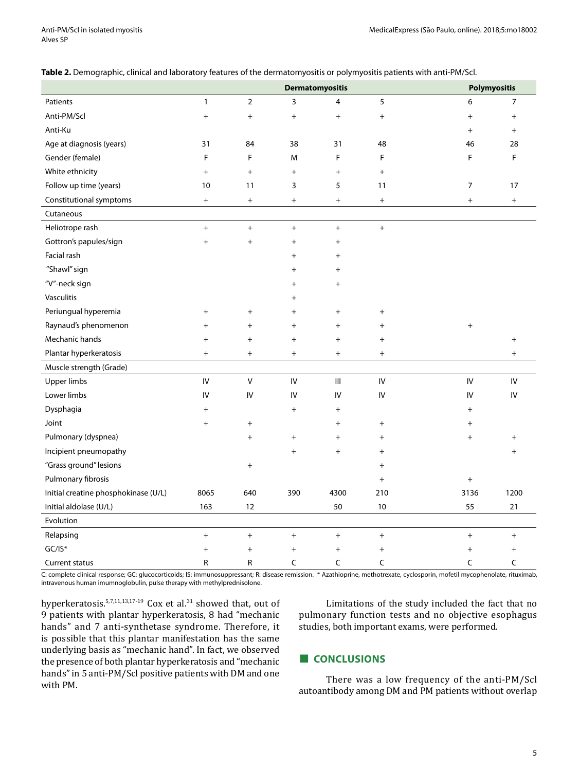| Table 2. Demographic, clinical and laboratory features of the dermatomyositis or polymyositis patients with anti-PM/Scl. |  |  |
|--------------------------------------------------------------------------------------------------------------------------|--|--|
|--------------------------------------------------------------------------------------------------------------------------|--|--|

|                                      | <b>Dermatomyositis</b>           |                                  |                                  |                                  |                                  | Polymyositis                     |                                  |
|--------------------------------------|----------------------------------|----------------------------------|----------------------------------|----------------------------------|----------------------------------|----------------------------------|----------------------------------|
| Patients                             | $\mathbf{1}$                     | $\overline{2}$                   | 3                                | $\overline{4}$                   | 5                                | 6                                | $\overline{7}$                   |
| Anti-PM/Scl                          | $^{+}$                           | $^{+}$                           | $\begin{array}{c} + \end{array}$ | $+$                              | $^{+}$                           | $+$                              | $^{+}$                           |
| Anti-Ku                              |                                  |                                  |                                  |                                  |                                  | $^{+}$                           | $\ddot{}$                        |
| Age at diagnosis (years)             | 31                               | 84                               | 38                               | 31                               | 48                               | 46                               | 28                               |
| Gender (female)                      | F                                | F                                | M                                | F                                | F                                | F                                | F                                |
| White ethnicity                      | $\ddot{}$                        | $\ddot{}$                        | $\begin{array}{c} + \end{array}$ | $+$                              | $^{+}$                           |                                  |                                  |
| Follow up time (years)               | 10                               | 11                               | 3                                | 5                                | 11                               | $\overline{7}$                   | 17                               |
| Constitutional symptoms              | $\begin{array}{c} + \end{array}$ | $\begin{array}{c} + \end{array}$ | $\begin{array}{c} + \end{array}$ | $+$                              | $\begin{array}{c} + \end{array}$ | $^{+}$                           | $\begin{array}{c} + \end{array}$ |
| Cutaneous                            |                                  |                                  |                                  |                                  |                                  |                                  |                                  |
| Heliotrope rash                      | $+$                              | $^{+}$                           | $\ddot{}$                        | $+$                              | $+$                              |                                  |                                  |
| Gottron's papules/sign               | $^{+}$                           | $\ddot{}$                        | $^{+}$                           | $^{+}$                           |                                  |                                  |                                  |
| Facial rash                          |                                  |                                  | $^{+}$                           | $\,{}^+$                         |                                  |                                  |                                  |
| "Shawl" sign                         |                                  |                                  | $\ddot{}$                        | $^{+}$                           |                                  |                                  |                                  |
| "V"-neck sign                        |                                  |                                  | $^{+}$                           | $^{+}$                           |                                  |                                  |                                  |
| Vasculitis                           |                                  |                                  | $\ddot{}$                        |                                  |                                  |                                  |                                  |
| Periungual hyperemia                 | $^{+}$                           | $^{+}$                           | $^{+}$                           | $^{+}$                           | $^{+}$                           |                                  |                                  |
| Raynaud's phenomenon                 | $^{+}$                           | $^{+}$                           | $^{+}$                           | $\begin{array}{c} + \end{array}$ | $^{+}$                           | $\begin{array}{c} + \end{array}$ |                                  |
| Mechanic hands                       | $\ddag$                          | $^{+}$                           | $^{+}$                           | $^{+}$                           | $^{+}$                           |                                  | $^{+}$                           |
| Plantar hyperkeratosis               | $\ddot{}$                        | $\ddot{}$                        | $\begin{array}{c} + \end{array}$ | $+$                              | $\ddot{}$                        |                                  | $\ddot{}$                        |
| Muscle strength (Grade)              |                                  |                                  |                                  |                                  |                                  |                                  |                                  |
| Upper limbs                          | IV                               | V                                | IV                               | Ш                                | IV                               | IV                               | IV                               |
| Lower limbs                          | IV                               | IV                               | IV                               | IV                               | IV                               | IV                               | IV                               |
| Dysphagia                            | $\ddot{}$                        |                                  | $\ddot{}$                        | $^{+}$                           |                                  | $\ddot{}$                        |                                  |
| Joint                                | $^{+}$                           | $^{+}$                           |                                  | $\overline{+}$                   | $^{+}$                           | $\hbox{ }$                       |                                  |
| Pulmonary (dyspnea)                  |                                  | $\begin{array}{c} + \end{array}$ | $^{+}$                           | $^{+}$                           | $^{+}$                           | $^{+}$                           | $\ddot{}$                        |
| Incipient pneumopathy                |                                  |                                  | $^{+}$                           | $+$                              | $\ddot{}$                        |                                  | $\overline{+}$                   |
| "Grass ground" lesions               |                                  | $^{+}$                           |                                  |                                  | $+$                              |                                  |                                  |
| Pulmonary fibrosis                   |                                  |                                  |                                  |                                  | $\ddot{}$                        | $\begin{array}{c} + \end{array}$ |                                  |
| Initial creatine phosphokinase (U/L) | 8065                             | 640                              | 390                              | 4300                             | 210                              | 3136                             | 1200                             |
| Initial aldolase (U/L)               | 163                              | 12                               |                                  | 50                               | $10$                             | 55                               | 21                               |
| Evolution                            |                                  |                                  |                                  |                                  |                                  |                                  |                                  |
| Relapsing                            | $\ddot{}$                        | $\ddot{}$                        | $\ddot{}$                        | $\boldsymbol{+}$                 | $\ddot{}$                        | $\ddot{}$                        | $^{+}$                           |
| $GC/IS*$                             | $\ddot{}$                        | $\ddot{}$                        | $^{+}$                           | $^{+}$                           | $^{+}$                           | $^{+}$                           | $^{+}$                           |
| Current status                       | $\mathsf{R}$                     | R                                | C                                | C                                | C                                | C                                | C                                |

C: complete clinical response; GC: glucocorticoids; IS: immunosuppressant; R: disease remission. \* Azathioprine, methotrexate, cyclosporin, mofetil mycophenolate, rituximab, intravenous human imumnoglobulin, pulse therapy with methylprednisolone.

hyperkeratosis.<sup>5,7,11,13,17-19</sup> Cox et al.<sup>31</sup> showed that, out of 9 patients with plantar hyperkeratosis, 8 had "mechanic hands" and 7 anti-synthetase syndrome. Therefore, it is possible that this plantar manifestation has the same underlying basis as "mechanic hand". In fact, we observed the presence of both plantar hyperkeratosis and "mechanic hands" in 5 anti-PM/Scl positive patients with DM and one with PM.

Limitations of the study included the fact that no pulmonary function tests and no objective esophagus studies, both important exams, were performed.

#### **■ CONCLUSIONS**

There was a low frequency of the anti-PM/Scl autoantibody among DM and PM patients without overlap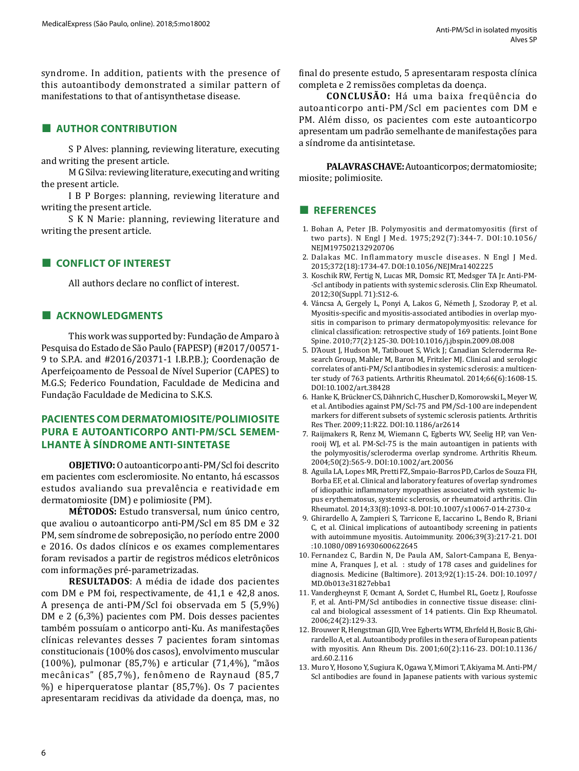syndrome. In addition, patients with the presence of this autoantibody demonstrated a similar pattern of manifestations to that of antisynthetase disease.

# **■ AUTHOR CONTRIBUTION**

S P Alves: planning, reviewing literature, executing and writing the present article.

M G Silva: reviewing literature, executing and writing the present article.

I B P Borges: planning, reviewing literature and writing the present article.

S K N Marie: planning, reviewing literature and writing the present article.

# **■ CONFLICT OF INTEREST**

All authors declare no conflict of interest.

#### **■ ACKNOWLEDGMENTS**

This work was supported by: Fundação de Amparo à Pesquisa do Estado de São Paulo (FAPESP) (#2017/00571- 9 to S.P.A. and #2016/20371-1 I.B.P.B.); Coordenação de Aperfeiçoamento de Pessoal de Nível Superior (CAPES) to M.G.S; Federico Foundation, Faculdade de Medicina and Fundação Faculdade de Medicina to S.K.S.

# **PACIENTES COM DERMATOMIOSITE/POLIMIOSITE PURA E AUTOANTICORPO ANTI-PM/SCL SEMEM-LHANTE À SÍNDROME ANTI-SINTETASE**

**OBJETIVO:** O autoanticorpo anti-PM/Scl foi descrito em pacientes com escleromiosite. No entanto, há escassos estudos avaliando sua prevalência e reatividade em dermatomiosite (DM) e polimiosite (PM).

**MÉTODOS:** Estudo transversal, num único centro, que avaliou o autoanticorpo anti-PM/Scl em 85 DM e 32 PM, sem síndrome de sobreposição, no período entre 2000 e 2016. Os dados clínicos e os exames complementares foram revisados a partir de registros médicos eletrônicos com informações pré-parametrizadas.

**RESULTADOS**: A média de idade dos pacientes com DM e PM foi, respectivamente, de 41,1 e 42,8 anos. A presença de anti-PM/Scl foi observada em 5 (5,9%) DM e 2 (6,3%) pacientes com PM. Dois desses pacientes também possuíam o anticorpo anti-Ku. As manifestações clínicas relevantes desses 7 pacientes foram sintomas constitucionais (100% dos casos), envolvimento muscular (100%), pulmonar (85,7%) e articular (71,4%), "mãos mecânicas" (85,7%), fenômeno de Raynaud (85,7 %) e hiperqueratose plantar (85,7%). Os 7 pacientes apresentaram recidivas da atividade da doença, mas, no

final do presente estudo, 5 apresentaram resposta clínica completa e 2 remissões completas da doença.

**CONCLUSÃO:** Há uma baixa freqüência do autoanticorpo anti-PM/Scl em pacientes com DM e PM. Além disso, os pacientes com este autoanticorpo apresentam um padrão semelhante de manifestações para a síndrome da antisintetase.

**PALAVRAS CHAVE:** Autoanticorpos; dermatomiosite; miosite; polimiosite.

# **■ REFERENCES**

- 1. Bohan A, Peter JB. Polymyositis and dermatomyositis (first of two parts). N Engl J Med. 1975;292(7):344-7. DOI:10.1056/ NEJM197502132920706
- 2. Dalakas MC. Inflammatory muscle diseases. N Engl J Med. 2015;372(18):1734-47. DOI:10.1056/NEJMra1402225
- 3. Koschik RW, Fertig N, Lucas MR, Domsic RT, Medsger TA Jr. Anti-PM- -Scl antibody in patients with systemic sclerosis. Clin Exp Rheumatol. 2012;30(Suppl. 71):S12-6.
- 4. Váncsa A, Gergely L, Ponyi A, Lakos G, Németh J, Szodoray P, et al. Myositis-specific and myositis-associated antibodies in overlap myositis in comparison to primary dermatopolymyositis: relevance for clinical classification: retrospective study of 169 patients. Joint Bone Spine. 2010;77(2):125-30. DOI:10.1016/j.jbspin.2009.08.008
- 5. D'Aoust J, Hudson M, Tatibouet S, Wick J; Canadian Scleroderma Research Group, Mahler M, Baron M, Fritzler MJ. Clinical and serologic correlates of anti-PM/Scl antibodies in systemic sclerosis: a multicenter study of 763 patients. Arthritis Rheumatol. 2014;66(6):1608-15. DOI:10.1002/art.38428
- 6. Hanke K, Brückner CS, Dähnrich C, Huscher D, Komorowski L, Meyer W, et al. Antibodies against PM/Scl-75 and PM/Scl-100 are independent markers for different subsets of systemic sclerosis patients. Arthritis Res Ther. 2009;11:R22. DOI:10.1186/ar2614
- 7. Raijmakers R, Renz M, Wiemann C, Egberts WV, Seelig HP, van Venrooij WJ, et al. PM-Scl-75 is the main autoantigen in patients with the polymyositis/scleroderma overlap syndrome. Arthritis Rheum. 2004;50(2):565-9. DOI:10.1002/art.20056
- 8. Aguila LA, Lopes MR, Pretti FZ, Smpaio-Barros PD, Carlos de Souza FH, Borba EF, et al. Clinical and laboratory features of overlap syndromes of idiopathic inflammatory myopathies associated with systemic lupus erythematosus, systemic sclerosis, or rheumatoid arthritis. Clin Rheumatol. 2014;33(8):1093-8. DOI:10.1007/s10067-014-2730-z
- 9. Ghirardello A, Zampieri S, Tarricone E, Iaccarino L, Bendo R, Briani C, et al. Clinical implications of autoantibody screening in patients with autoimmune myositis. Autoimmunity. 2006;39(3):217-21. DOI :10.1080/08916930600622645
- 10. Fernandez C, Bardin N, De Paula AM, Salort-Campana E, Benyamine A, Franques J, et al. : study of 178 cases and guidelines for diagnosis. Medicine (Baltimore). 2013;92(1):15-24. DOI:10.1097/ MD.0b013e31827ebba1
- 11. Vandergheynst F, Ocmant A, Sordet C, Humbel RL, Goetz J, Roufosse F, et al. Anti-PM/Scl antibodies in connective tissue disease: clinical and biological assessment of 14 patients. Clin Exp Rheumatol. 2006;24(2):129-33.
- 12. Brouwer R, Hengstman GJD, Vree Egberts WTM, Ehrfeld H, Bosic B, Ghirardello A, et al. Autoantibody profiles in the sera of European patients with myositis. Ann Rheum Dis. 2001;60(2):116-23. DOI:10.1136/ ard.60.2.116
- 13. Muro Y, Hosono Y, Sugiura K, Ogawa Y, Mimori T, Akiyama M. Anti-PM/ Scl antibodies are found in Japanese patients with various systemic